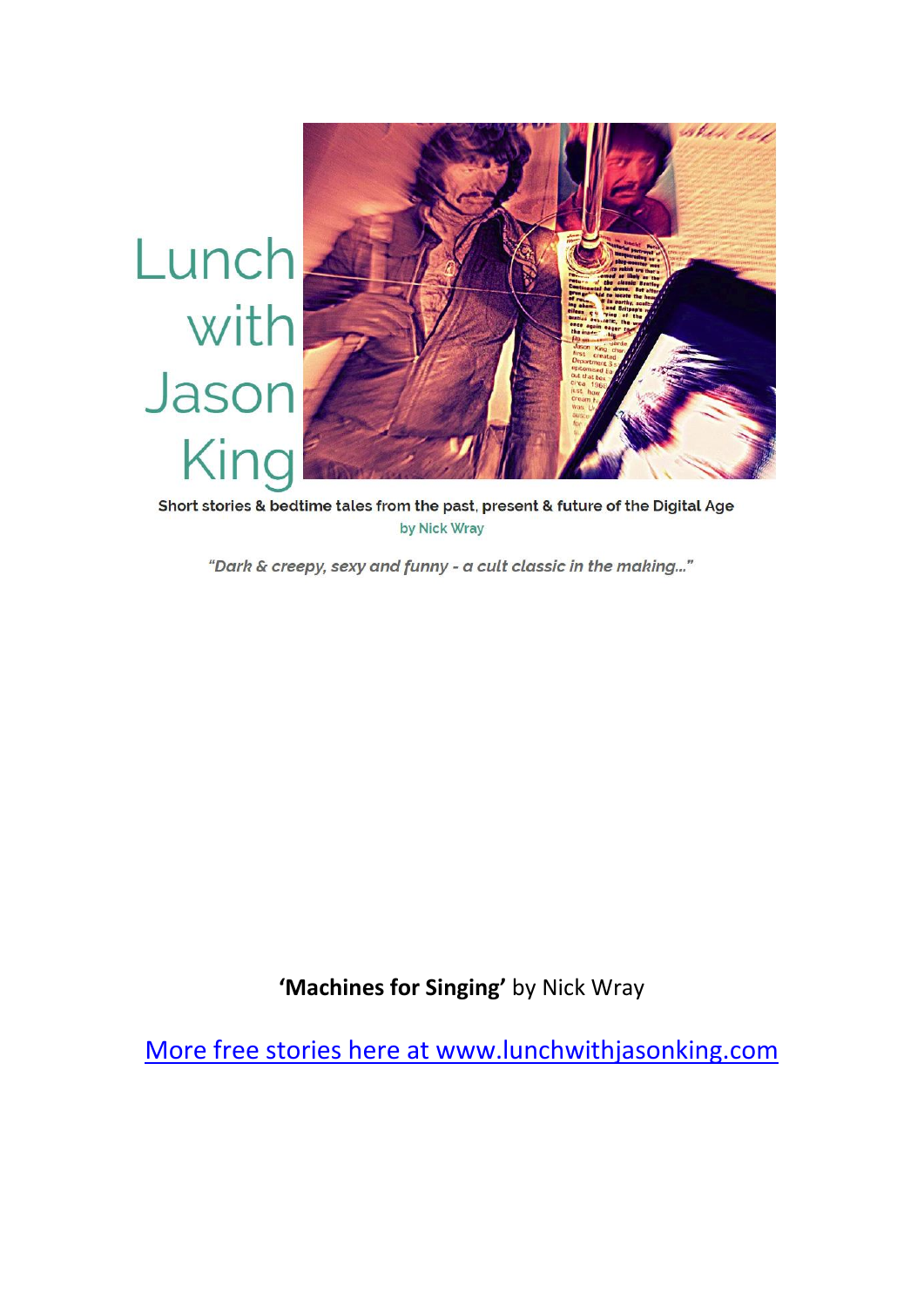

Short stories & bedtime tales from the past, present & future of the Digital Age by Nick Wray

"Dark & creepy, sexy and funny - a cult classic in the making..."

**'Machines for Singing'** by Nick Wray

More free stories here at www.lunchwithjasonking.com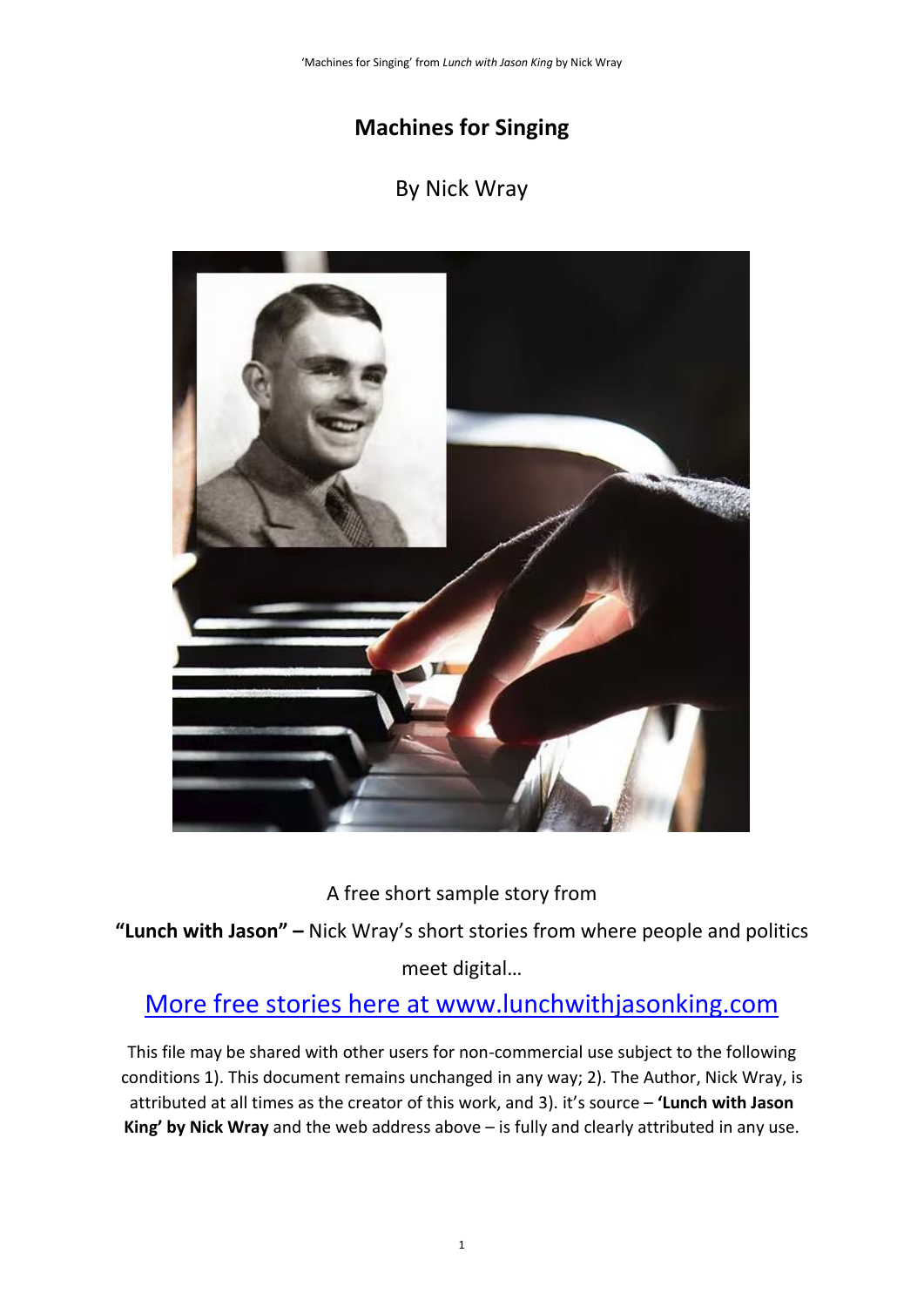## **Machines for Singing**

## By Nick Wray



A free short sample story from

**"Lunch with Jason" –** Nick Wray's short stories from where people and politics

meet digital…

# More free stories here at www.lunchwithjasonking.com

This file may be shared with other users for non-commercial use subject to the following conditions 1). This document remains unchanged in any way; 2). The Author, Nick Wray, is attributed at all times as the creator of this work, and 3). it's source – **'Lunch with Jason King' by Nick Wray** and the web address above – is fully and clearly attributed in any use.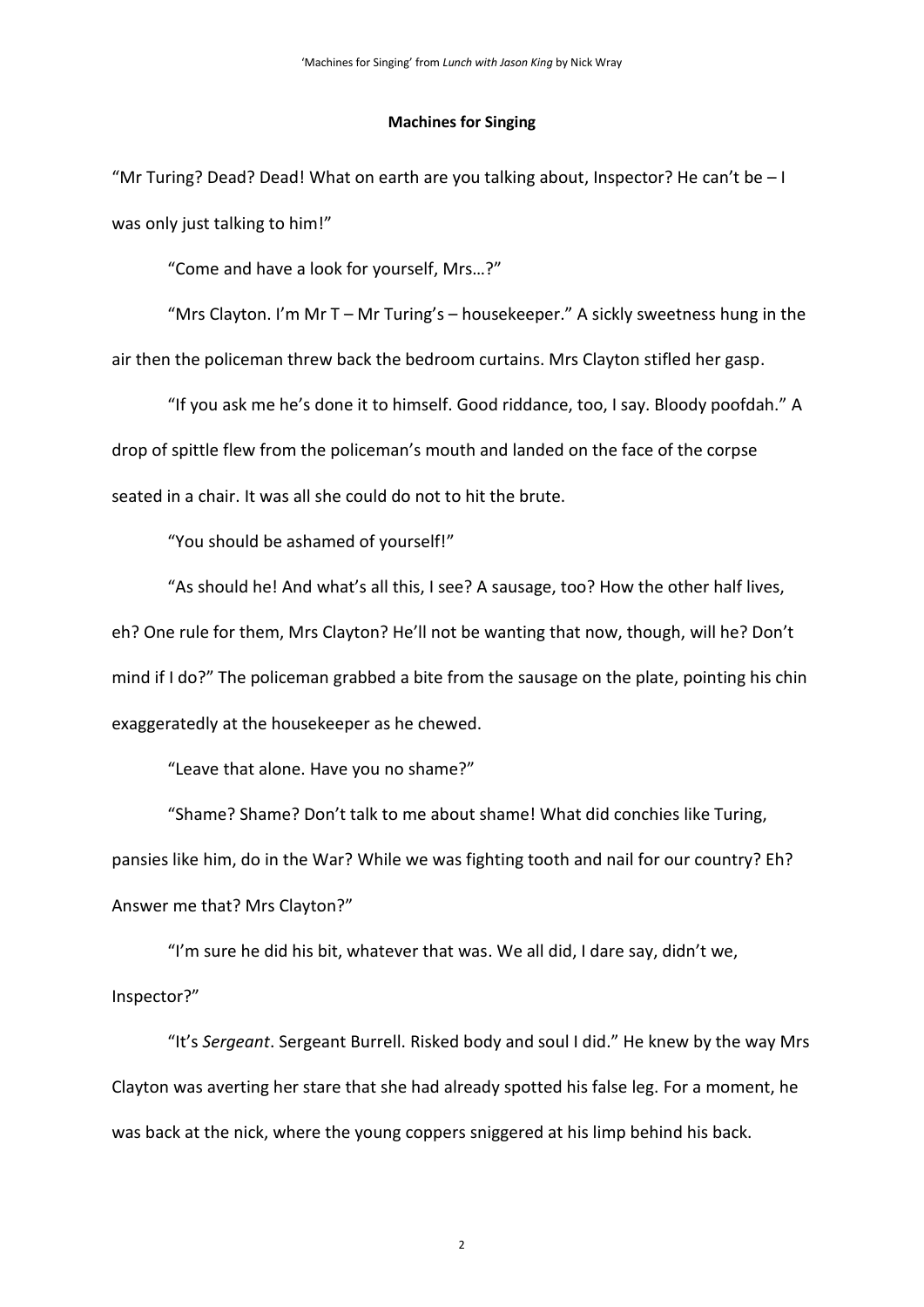#### **Machines for Singing**

"Mr Turing? Dead? Dead! What on earth are you talking about, Inspector? He can't be – I was only just talking to him!"

"Come and have a look for yourself, Mrs…?"

"Mrs Clayton. I'm Mr T – Mr Turing's – housekeeper." A sickly sweetness hung in the air then the policeman threw back the bedroom curtains. Mrs Clayton stifled her gasp.

"If you ask me he's done it to himself. Good riddance, too, I say. Bloody poofdah." A drop of spittle flew from the policeman's mouth and landed on the face of the corpse seated in a chair. It was all she could do not to hit the brute.

"You should be ashamed of yourself!"

"As should he! And what's all this, I see? A sausage, too? How the other half lives, eh? One rule for them, Mrs Clayton? He'll not be wanting that now, though, will he? Don't mind if I do?" The policeman grabbed a bite from the sausage on the plate, pointing his chin exaggeratedly at the housekeeper as he chewed.

"Leave that alone. Have you no shame?"

"Shame? Shame? Don't talk to me about shame! What did conchies like Turing, pansies like him, do in the War? While we was fighting tooth and nail for our country? Eh? Answer me that? Mrs Clayton?"

"I'm sure he did his bit, whatever that was. We all did, I dare say, didn't we, Inspector?"

"It's *Sergeant*. Sergeant Burrell. Risked body and soul I did." He knew by the way Mrs Clayton was averting her stare that she had already spotted his false leg. For a moment, he was back at the nick, where the young coppers sniggered at his limp behind his back.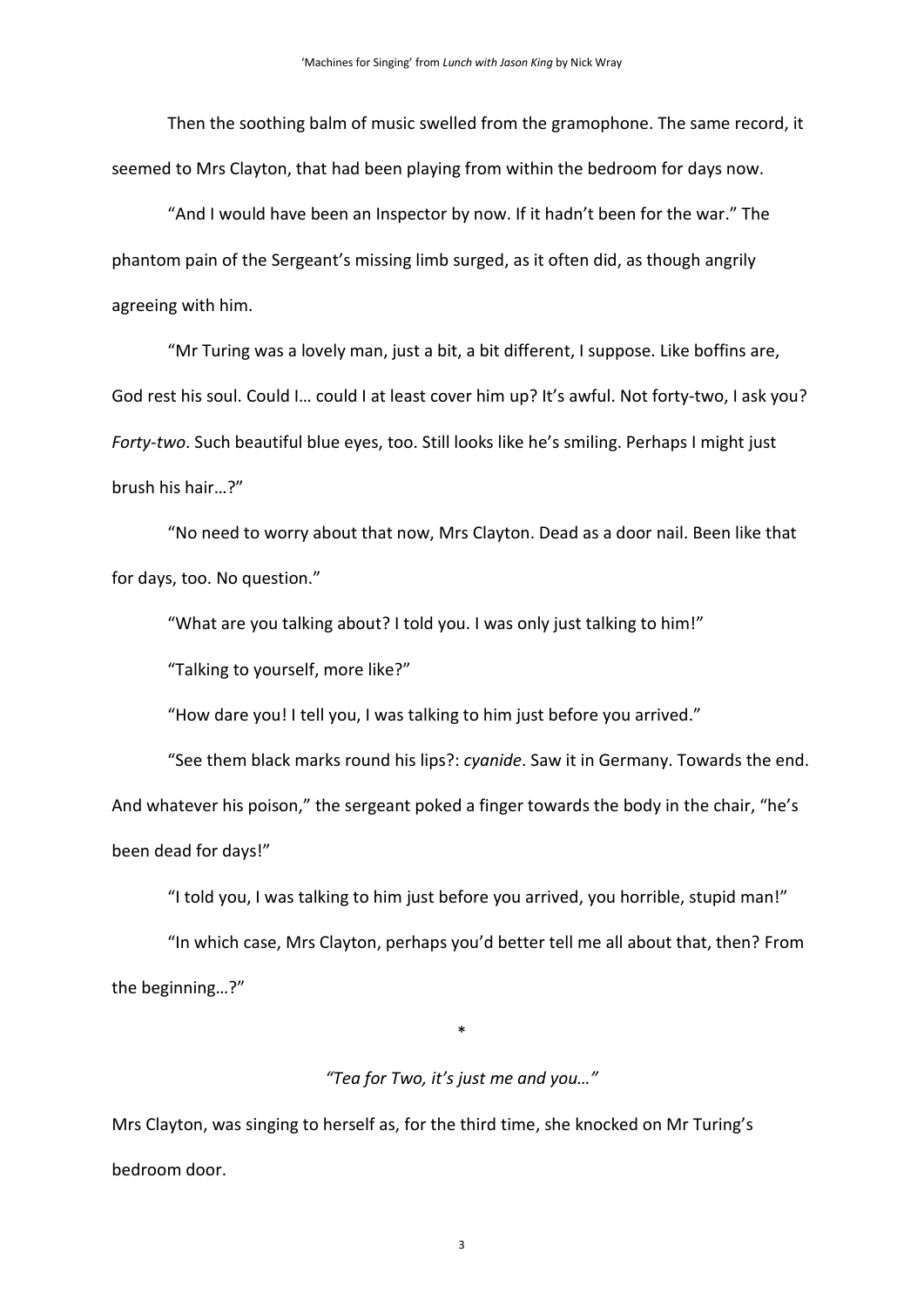Then the soothing balm of music swelled from the gramophone. The same record, it seemed to Mrs Clayton, that had been playing from within the bedroom for days now.

"And I would have been an Inspector by now. If it hadn't been for the war." The phantom pain of the Sergeant's missing limb surged, as it often did, as though angrily agreeing with him.

"Mr Turing was a lovely man, just a bit, a bit different, I suppose. Like boffins are, God rest his soul. Could I… could I at least cover him up? It's awful. Not forty-two, I ask you? *Forty-two*. Such beautiful blue eyes, too. Still looks like he's smiling. Perhaps I might just brush his hair…?"

"No need to worry about that now, Mrs Clayton. Dead as a door nail. Been like that for days, too. No question."

"What are you talking about? I told you. I was only just talking to him!"

"Talking to yourself, more like?"

"How dare you! I tell you, I was talking to him just before you arrived."

"See them black marks round his lips?: *cyanide*. Saw it in Germany. Towards the end. And whatever his poison," the sergeant poked a finger towards the body in the chair, "he's been dead for days!"

"I told you, I was talking to him just before you arrived, you horrible, stupid man!"

"In which case, Mrs Clayton, perhaps you'd better tell me all about that, then? From the beginning…?"

### *"Tea for Two, it's just me and you…"*

\*

Mrs Clayton, was singing to herself as, for the third time, she knocked on Mr Turing's bedroom door.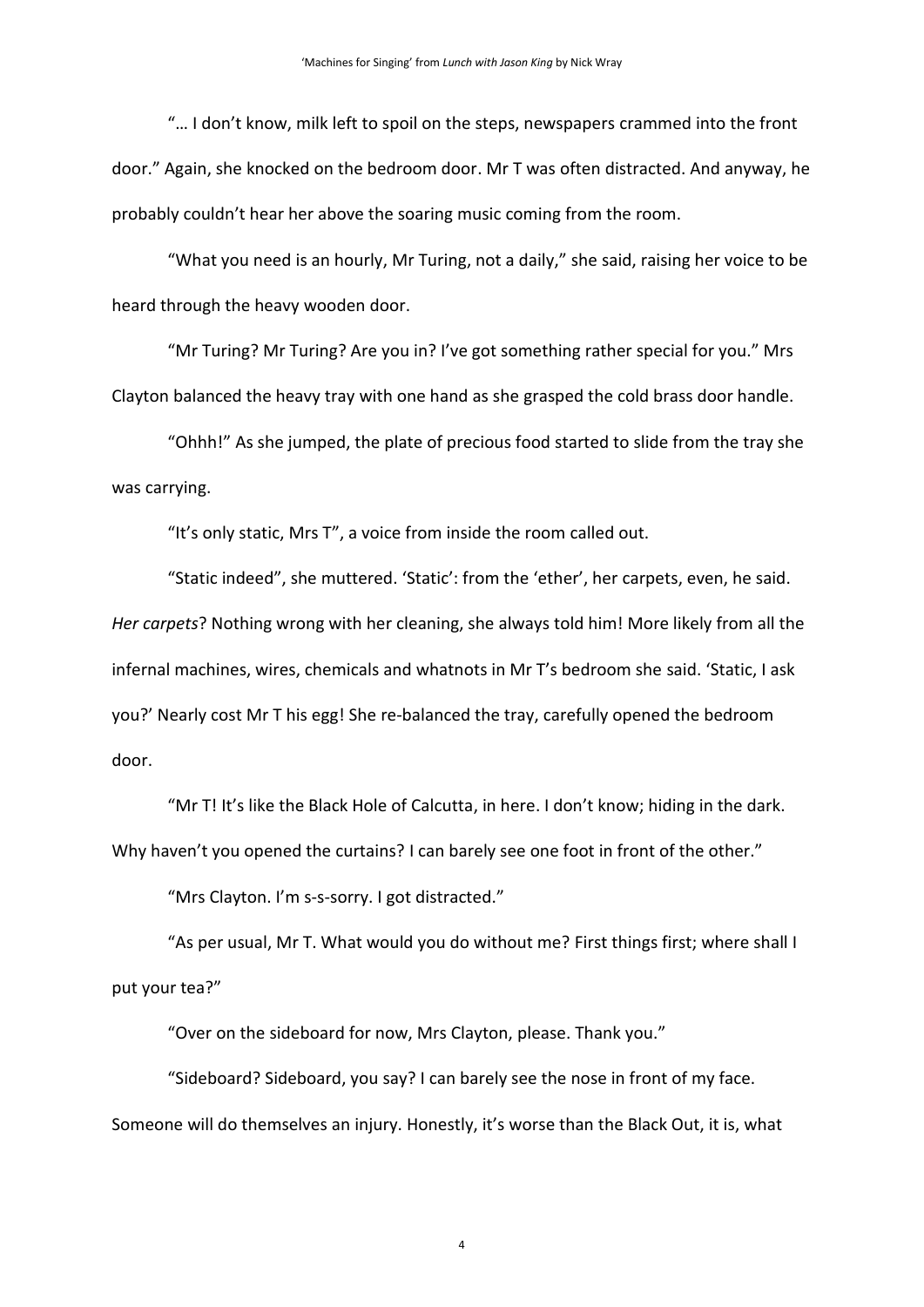"… I don't know, milk left to spoil on the steps, newspapers crammed into the front door." Again, she knocked on the bedroom door. Mr T was often distracted. And anyway, he probably couldn't hear her above the soaring music coming from the room.

"What you need is an hourly, Mr Turing, not a daily," she said, raising her voice to be heard through the heavy wooden door.

"Mr Turing? Mr Turing? Are you in? I've got something rather special for you." Mrs Clayton balanced the heavy tray with one hand as she grasped the cold brass door handle.

"Ohhh!" As she jumped, the plate of precious food started to slide from the tray she was carrying.

"It's only static, Mrs T", a voice from inside the room called out.

"Static indeed", she muttered. 'Static': from the 'ether', her carpets, even, he said. *Her carpets*? Nothing wrong with her cleaning, she always told him! More likely from all the infernal machines, wires, chemicals and whatnots in Mr T's bedroom she said. 'Static, I ask you?' Nearly cost Mr T his egg! She re-balanced the tray, carefully opened the bedroom door.

"Mr T! It's like the Black Hole of Calcutta, in here. I don't know; hiding in the dark. Why haven't you opened the curtains? I can barely see one foot in front of the other."

"Mrs Clayton. I'm s-s-sorry. I got distracted."

"As per usual, Mr T. What would you do without me? First things first; where shall I put your tea?"

"Over on the sideboard for now, Mrs Clayton, please. Thank you."

"Sideboard? Sideboard, you say? I can barely see the nose in front of my face. Someone will do themselves an injury. Honestly, it's worse than the Black Out, it is, what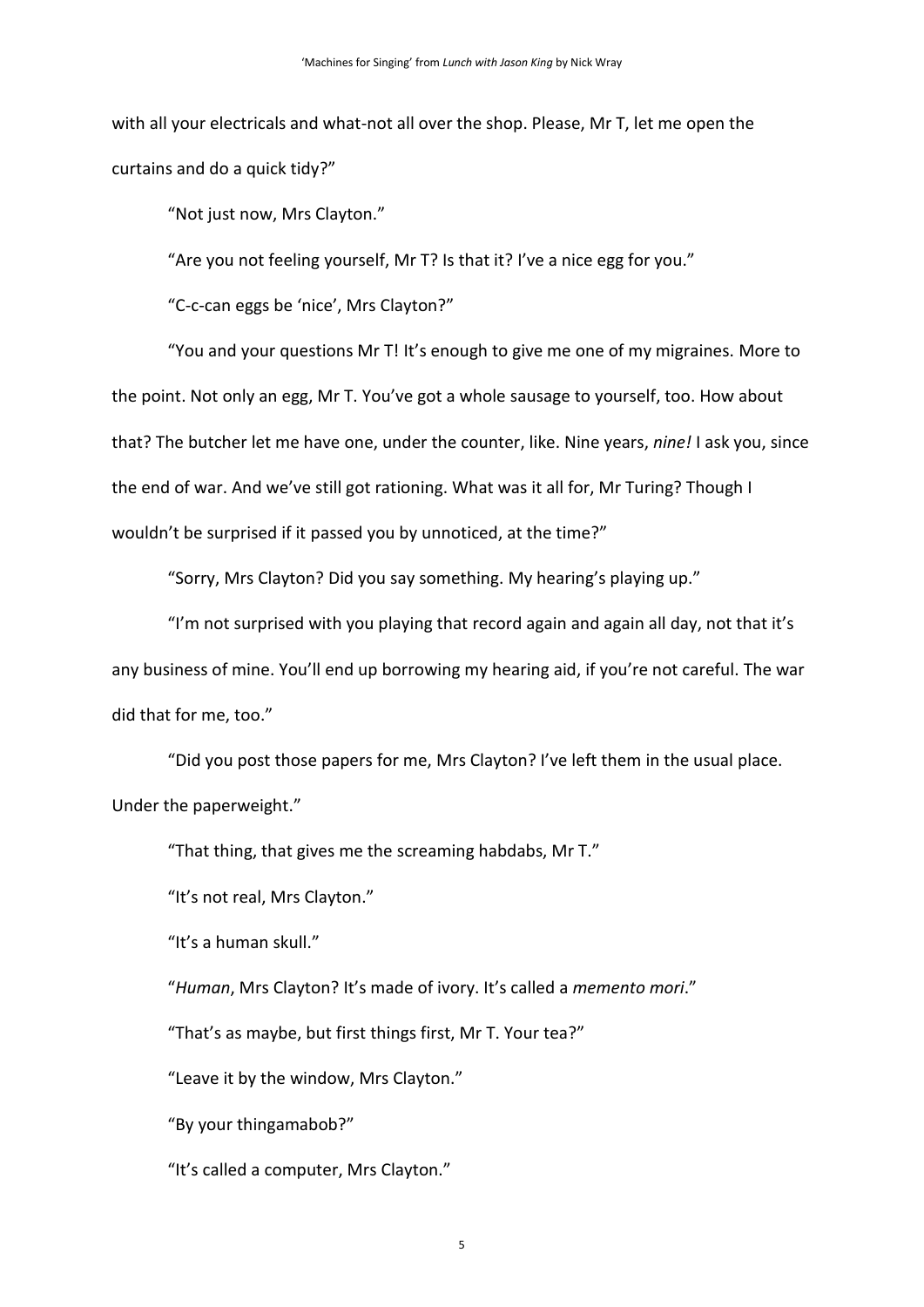with all your electricals and what-not all over the shop. Please, Mr T, let me open the curtains and do a quick tidy?"

"Not just now, Mrs Clayton."

"Are you not feeling yourself, Mr T? Is that it? I've a nice egg for you."

"C-c-can eggs be 'nice', Mrs Clayton?"

"You and your questions Mr T! It's enough to give me one of my migraines. More to the point. Not only an egg, Mr T. You've got a whole sausage to yourself, too. How about that? The butcher let me have one, under the counter, like. Nine years, *nine!* I ask you, since the end of war. And we've still got rationing. What was it all for, Mr Turing? Though I wouldn't be surprised if it passed you by unnoticed, at the time?"

"Sorry, Mrs Clayton? Did you say something. My hearing's playing up."

"I'm not surprised with you playing that record again and again all day, not that it's any business of mine. You'll end up borrowing my hearing aid, if you're not careful. The war did that for me, too."

"Did you post those papers for me, Mrs Clayton? I've left them in the usual place. Under the paperweight."

"That thing, that gives me the screaming habdabs, Mr T."

"It's not real, Mrs Clayton."

"It's a human skull."

"*Human*, Mrs Clayton? It's made of ivory. It's called a *memento mori*."

"That's as maybe, but first things first, Mr T. Your tea?"

"Leave it by the window, Mrs Clayton."

"By your thingamabob?"

"It's called a computer, Mrs Clayton."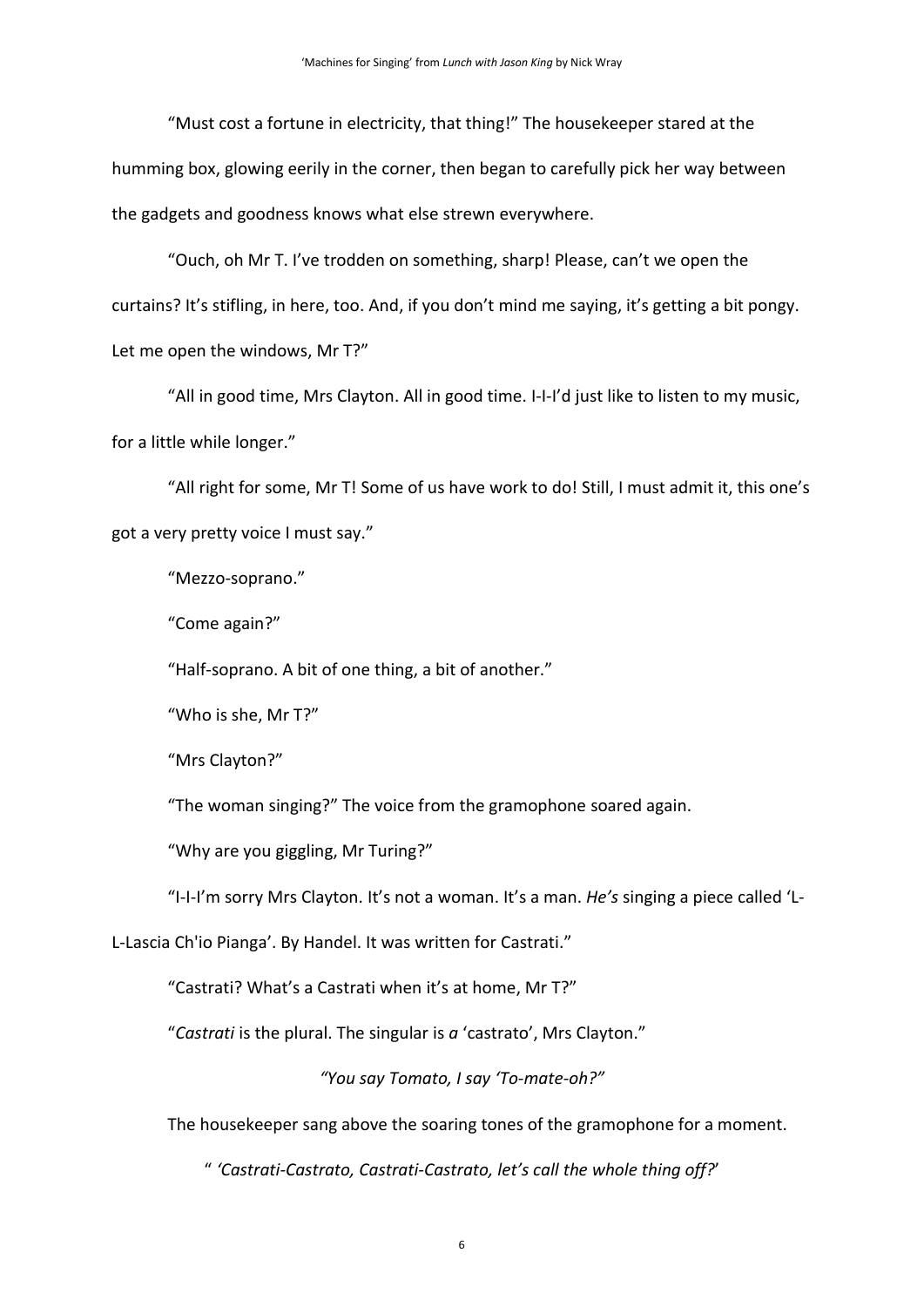"Must cost a fortune in electricity, that thing!" The housekeeper stared at the humming box, glowing eerily in the corner, then began to carefully pick her way between the gadgets and goodness knows what else strewn everywhere.

"Ouch, oh Mr T. I've trodden on something, sharp! Please, can't we open the curtains? It's stifling, in here, too. And, if you don't mind me saying, it's getting a bit pongy. Let me open the windows, Mr T?"

"All in good time, Mrs Clayton. All in good time. I-I-I'd just like to listen to my music, for a little while longer."

"All right for some, Mr T! Some of us have work to do! Still, I must admit it, this one's got a very pretty voice I must say."

"Mezzo-soprano."

"Come again?"

"Half-soprano. A bit of one thing, a bit of another."

"Who is she, Mr T?"

"Mrs Clayton?"

"The woman singing?" The voice from the gramophone soared again.

"Why are you giggling, Mr Turing?"

"I-I-I'm sorry Mrs Clayton. It's not a woman. It's a man. *He's* singing a piece called 'L-

L-Lascia Ch'io Pianga'. By Handel. It was written for Castrati."

"Castrati? What's a Castrati when it's at home, Mr T?"

"*Castrati* is the plural. The singular is *a* 'castrato', Mrs Clayton."

*"You say Tomato, I say 'To-mate-oh?"*

The housekeeper sang above the soaring tones of the gramophone for a moment.

" *'Castrati-Castrato, Castrati-Castrato, let's call the whole thing off?*'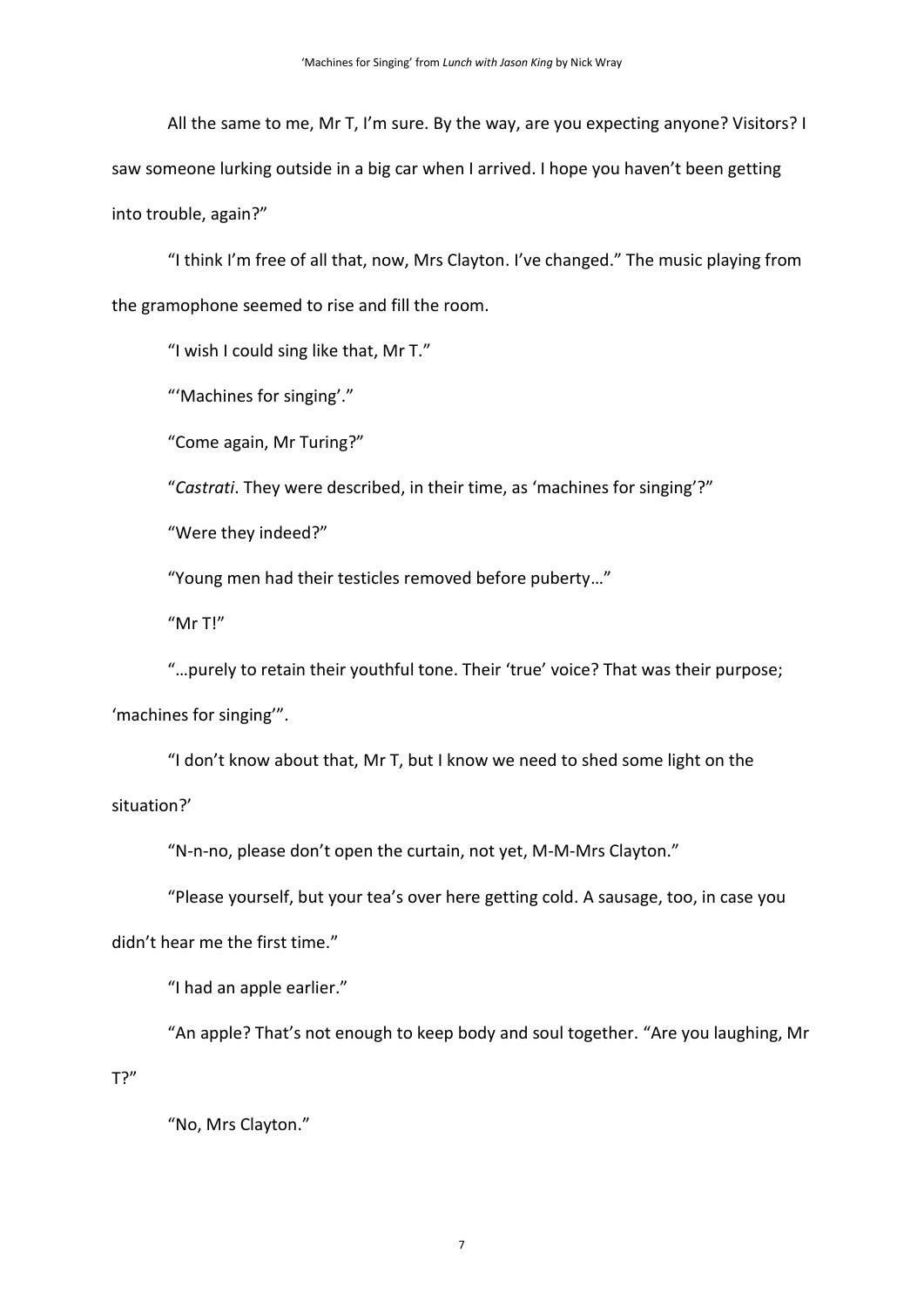All the same to me, Mr T, I'm sure. By the way, are you expecting anyone? Visitors? I saw someone lurking outside in a big car when I arrived. I hope you haven't been getting into trouble, again?"

"I think I'm free of all that, now, Mrs Clayton. I've changed." The music playing from the gramophone seemed to rise and fill the room.

"I wish I could sing like that, Mr T."

"'Machines for singing'."

"Come again, Mr Turing?"

"*Castrati*. They were described, in their time, as 'machines for singing'?"

"Were they indeed?"

"Young men had their testicles removed before puberty…"

"Mr T!"

"…purely to retain their youthful tone. Their 'true' voice? That was their purpose; 'machines for singing'".

"I don't know about that, Mr T, but I know we need to shed some light on the situation?'

"N-n-no, please don't open the curtain, not yet, M-M-Mrs Clayton."

"Please yourself, but your tea's over here getting cold. A sausage, too, in case you

didn't hear me the first time."

"I had an apple earlier."

"An apple? That's not enough to keep body and soul together. "Are you laughing, Mr T?"

"No, Mrs Clayton."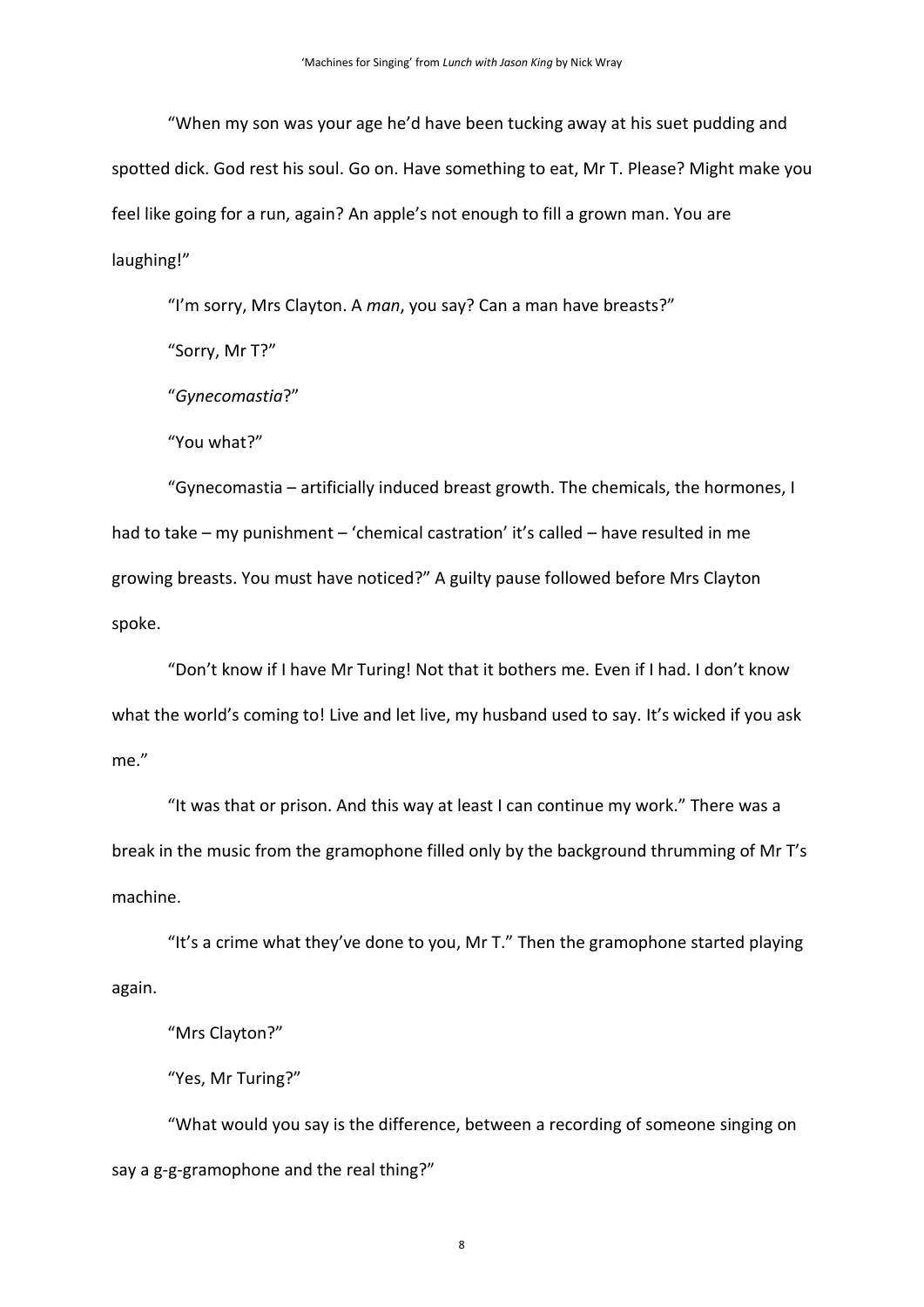"When my son was your age he'd have been tucking away at his suet pudding and spotted dick. God rest his soul. Go on. Have something to eat, Mr T. Please? Might make you feel like going for a run, again? An apple's not enough to fill a grown man. You are laughing!"

"I'm sorry, Mrs Clayton. A *man*, you say? Can a man have breasts?"

"Sorry, Mr T?"

"*Gynecomastia*?"

"You what?"

"Gynecomastia – artificially induced breast growth. The chemicals, the hormones, I had to take – my punishment – 'chemical castration' it's called – have resulted in me growing breasts. You must have noticed?" A guilty pause followed before Mrs Clayton spoke.

"Don't know if I have Mr Turing! Not that it bothers me. Even if I had. I don't know what the world's coming to! Live and let live, my husband used to say. It's wicked if you ask me."

"It was that or prison. And this way at least I can continue my work." There was a break in the music from the gramophone filled only by the background thrumming of Mr T's machine.

"It's a crime what they've done to you, Mr T." Then the gramophone started playing again.

"Mrs Clayton?"

"Yes, Mr Turing?"

"What would you say is the difference, between a recording of someone singing on say a g-g-gramophone and the real thing?"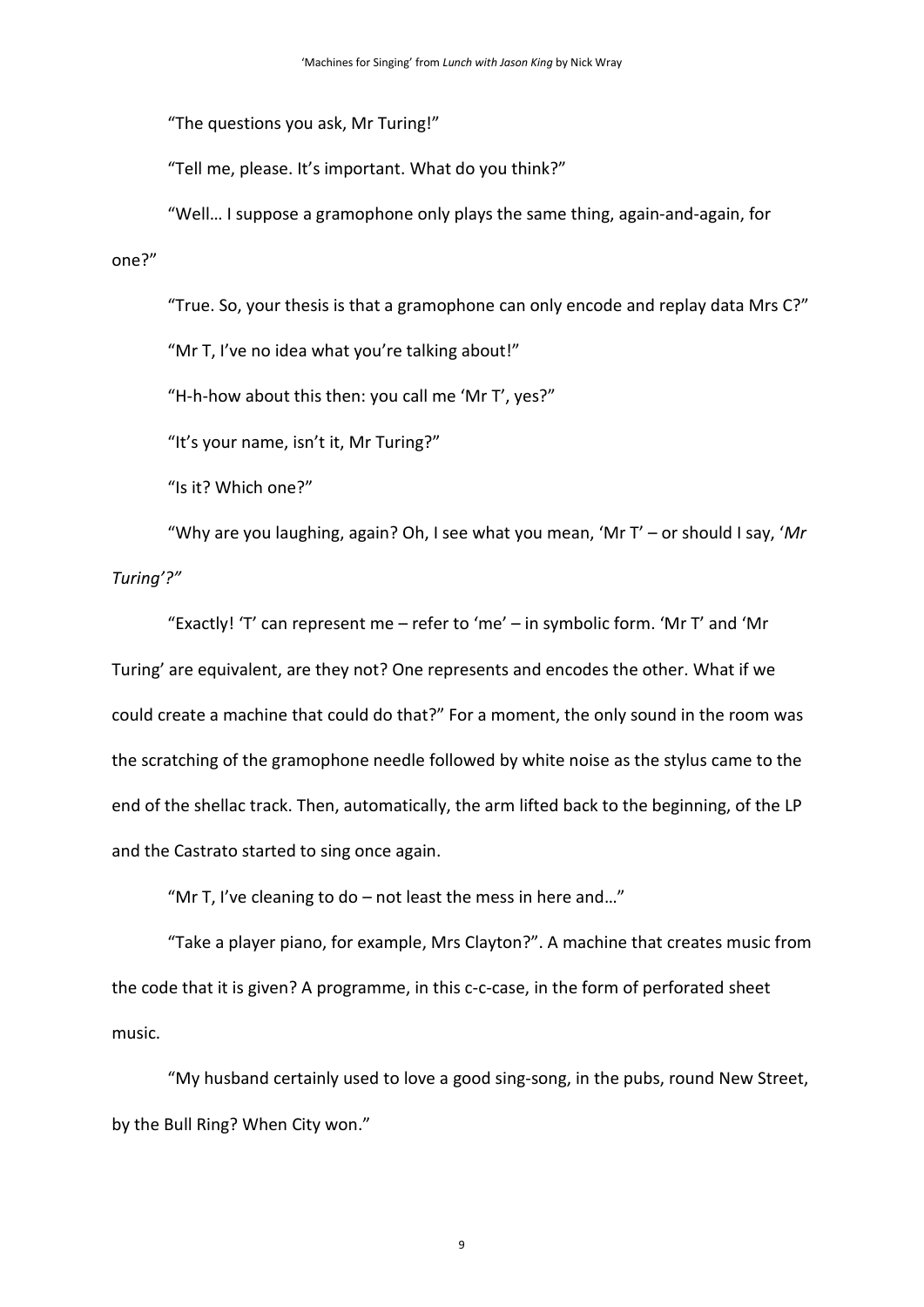"The questions you ask, Mr Turing!"

"Tell me, please. It's important. What do you think?"

"Well… I suppose a gramophone only plays the same thing, again-and-again, for one?"

"True. So, your thesis is that a gramophone can only encode and replay data Mrs C?"

"Mr T, I've no idea what you're talking about!"

"H-h-how about this then: you call me 'Mr T', yes?"

"It's your name, isn't it, Mr Turing?"

"Is it? Which one?"

"Why are you laughing, again? Oh, I see what you mean, 'Mr T' – or should I say, '*Mr Turing'?"*

"Exactly! 'T' can represent me – refer to 'me' – in symbolic form. 'Mr T' and 'Mr Turing' are equivalent, are they not? One represents and encodes the other. What if we could create a machine that could do that?" For a moment, the only sound in the room was the scratching of the gramophone needle followed by white noise as the stylus came to the end of the shellac track. Then, automatically, the arm lifted back to the beginning, of the LP and the Castrato started to sing once again.

"Mr T, I've cleaning to do  $-$  not least the mess in here and..."

"Take a player piano, for example, Mrs Clayton?". A machine that creates music from the code that it is given? A programme, in this c-c-case, in the form of perforated sheet music.

"My husband certainly used to love a good sing-song, in the pubs, round New Street, by the Bull Ring? When City won."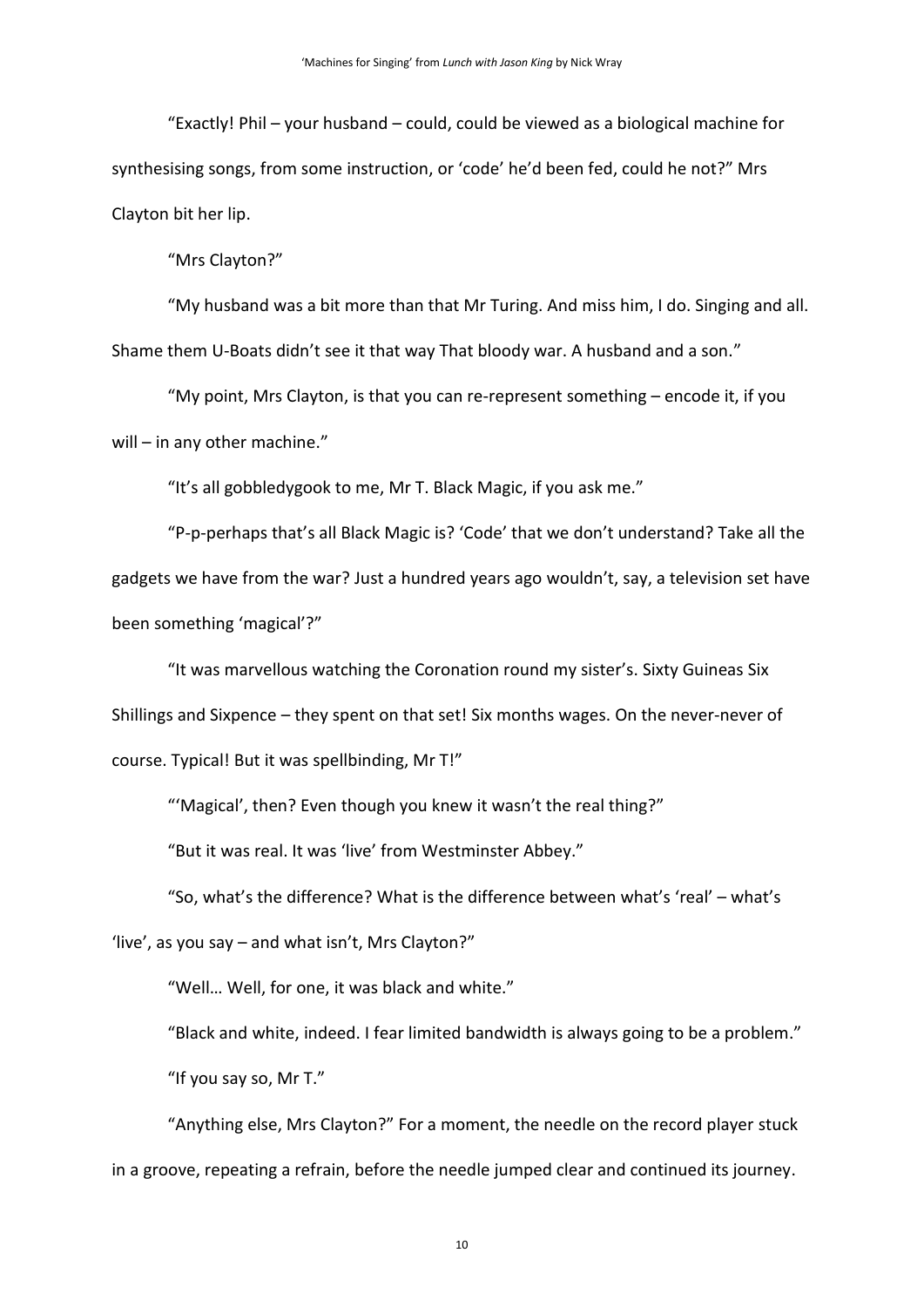"Exactly! Phil – your husband – could, could be viewed as a biological machine for synthesising songs, from some instruction, or 'code' he'd been fed, could he not?" Mrs Clayton bit her lip.

"Mrs Clayton?"

"My husband was a bit more than that Mr Turing. And miss him, I do. Singing and all. Shame them U-Boats didn't see it that way That bloody war. A husband and a son."

"My point, Mrs Clayton, is that you can re-represent something – encode it, if you will – in any other machine."

"It's all gobbledygook to me, Mr T. Black Magic, if you ask me."

"P-p-perhaps that's all Black Magic is? 'Code' that we don't understand? Take all the gadgets we have from the war? Just a hundred years ago wouldn't, say, a television set have been something 'magical'?"

"It was marvellous watching the Coronation round my sister's. Sixty Guineas Six Shillings and Sixpence – they spent on that set! Six months wages. On the never-never of course. Typical! But it was spellbinding, Mr T!"

"'Magical', then? Even though you knew it wasn't the real thing?"

"But it was real. It was 'live' from Westminster Abbey."

"So, what's the difference? What is the difference between what's 'real' – what's

'live', as you say – and what isn't, Mrs Clayton?"

"Well… Well, for one, it was black and white."

"Black and white, indeed. I fear limited bandwidth is always going to be a problem."

"If you say so, Mr T."

"Anything else, Mrs Clayton?" For a moment, the needle on the record player stuck in a groove, repeating a refrain, before the needle jumped clear and continued its journey.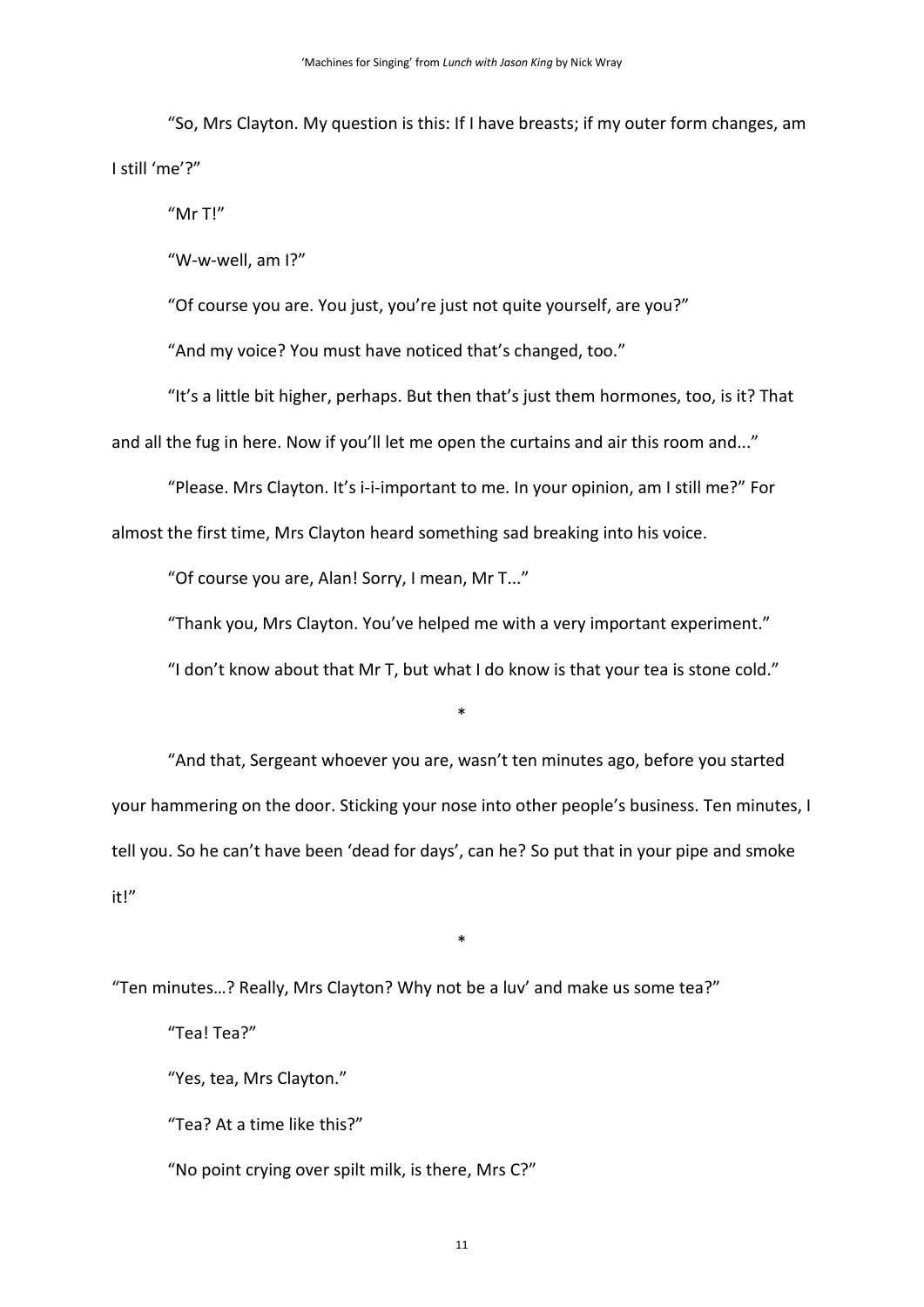"So, Mrs Clayton. My question is this: If I have breasts; if my outer form changes, am I still 'me'?"

"Mr T!"

"W-w-well, am I?"

"Of course you are. You just, you're just not quite yourself, are you?"

"And my voice? You must have noticed that's changed, too."

"It's a little bit higher, perhaps. But then that's just them hormones, too, is it? That and all the fug in here. Now if you'll let me open the curtains and air this room and..."

"Please. Mrs Clayton. It's i-i-important to me. In your opinion, am I still me?" For

almost the first time, Mrs Clayton heard something sad breaking into his voice.

"Of course you are, Alan! Sorry, I mean, Mr T..."

"Thank you, Mrs Clayton. You've helped me with a very important experiment."

"I don't know about that Mr T, but what I do know is that your tea is stone cold."

\*

"And that, Sergeant whoever you are, wasn't ten minutes ago, before you started your hammering on the door. Sticking your nose into other people's business. Ten minutes, I tell you. So he can't have been 'dead for days', can he? So put that in your pipe and smoke it!"

\*

"Ten minutes…? Really, Mrs Clayton? Why not be a luv' and make us some tea?" "Tea! Tea?" "Yes, tea, Mrs Clayton." "Tea? At a time like this?" "No point crying over spilt milk, is there, Mrs C?"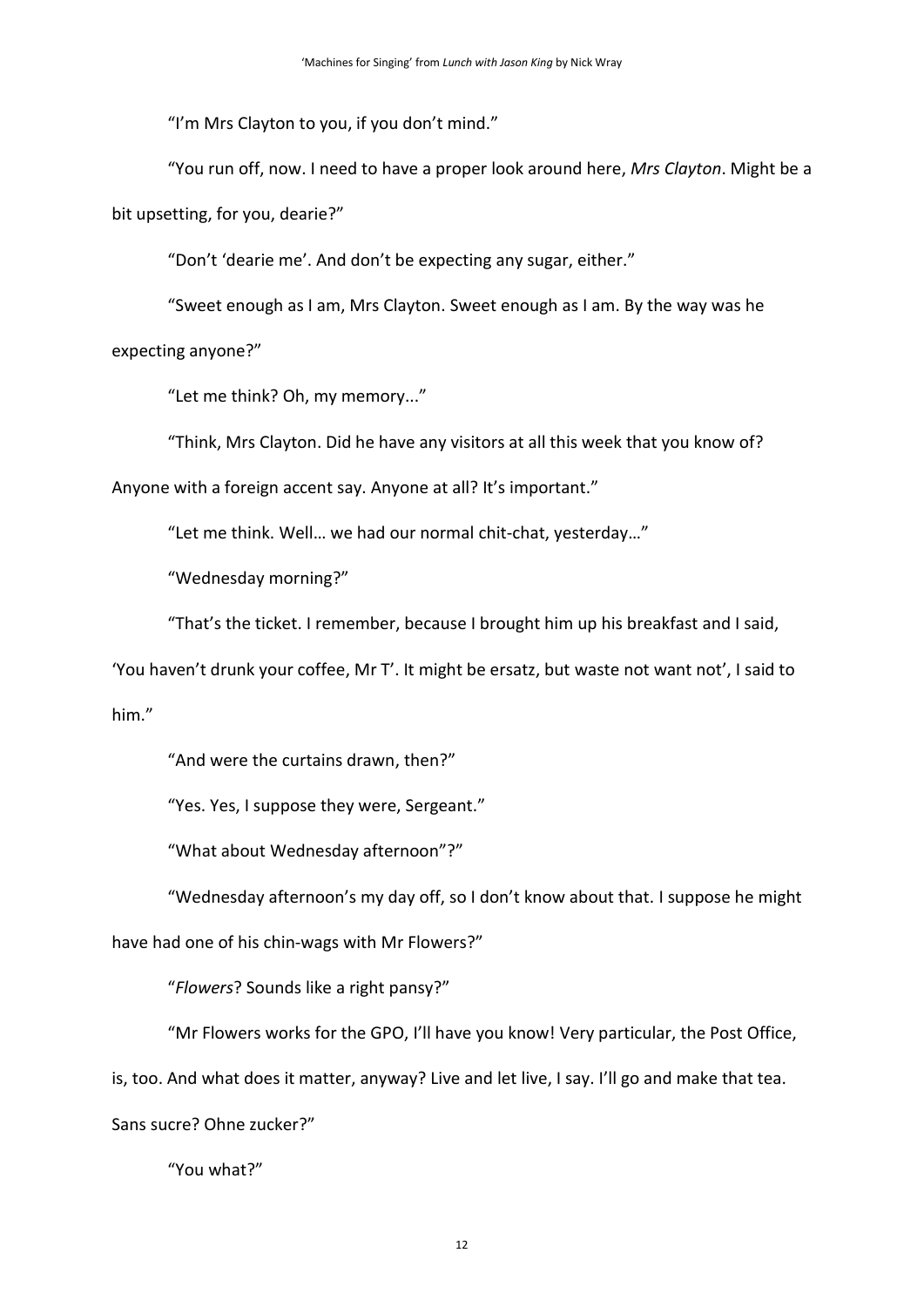"I'm Mrs Clayton to you, if you don't mind."

"You run off, now. I need to have a proper look around here, *Mrs Clayton*. Might be a bit upsetting, for you, dearie?"

"Don't 'dearie me'. And don't be expecting any sugar, either."

"Sweet enough as I am, Mrs Clayton. Sweet enough as I am. By the way was he expecting anyone?"

"Let me think? Oh, my memory..."

"Think, Mrs Clayton. Did he have any visitors at all this week that you know of?

Anyone with a foreign accent say. Anyone at all? It's important."

"Let me think. Well… we had our normal chit-chat, yesterday…"

"Wednesday morning?"

"That's the ticket. I remember, because I brought him up his breakfast and I said,

'You haven't drunk your coffee, Mr T'. It might be ersatz, but waste not want not', I said to him."

"And were the curtains drawn, then?"

"Yes. Yes, I suppose they were, Sergeant."

"What about Wednesday afternoon"?"

"Wednesday afternoon's my day off, so I don't know about that. I suppose he might

have had one of his chin-wags with Mr Flowers?"

"*Flowers*? Sounds like a right pansy?"

"Mr Flowers works for the GPO, I'll have you know! Very particular, the Post Office,

is, too. And what does it matter, anyway? Live and let live, I say. I'll go and make that tea.

Sans sucre? Ohne zucker?"

"You what?"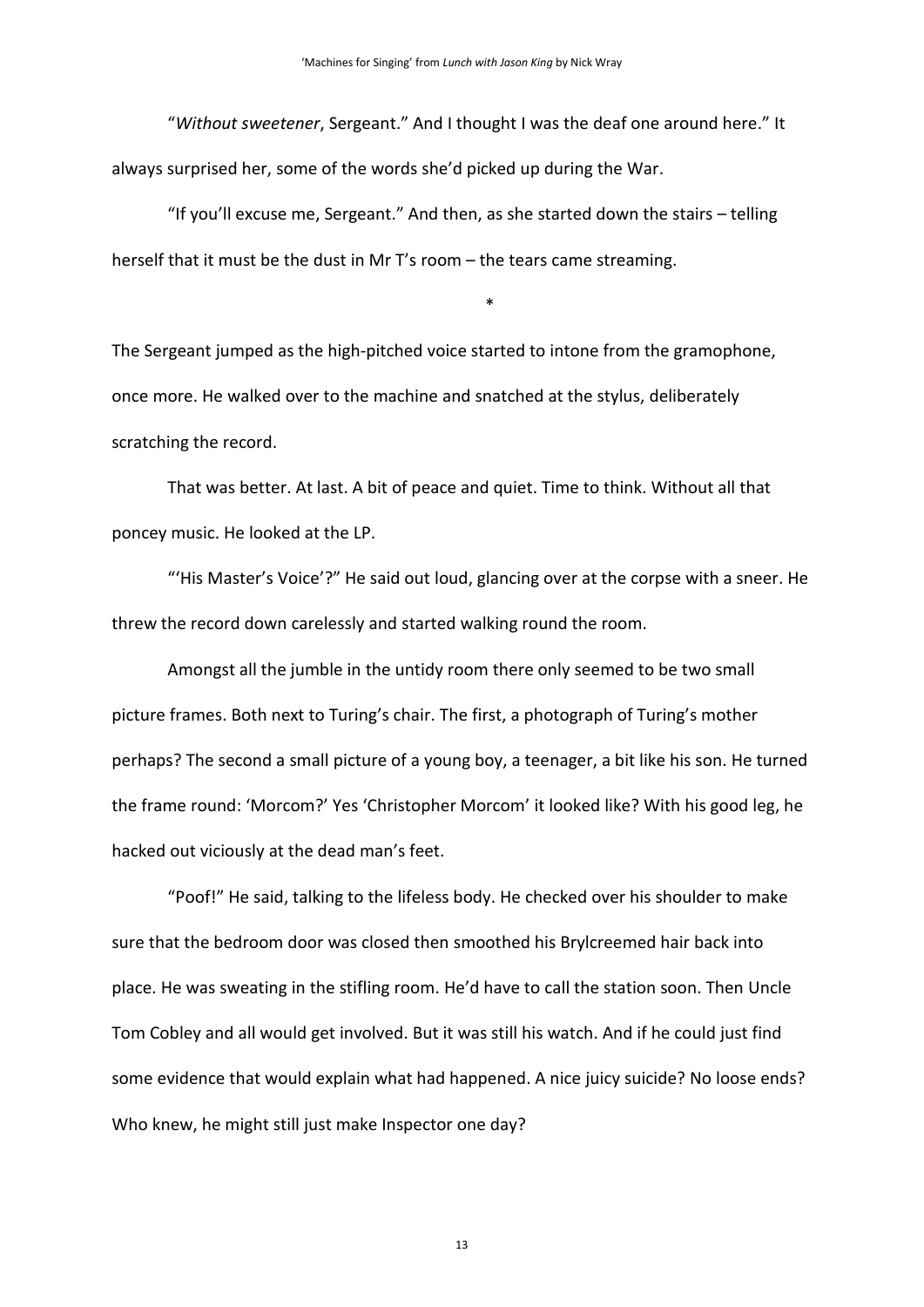"*Without sweetener*, Sergeant." And I thought I was the deaf one around here." It always surprised her, some of the words she'd picked up during the War.

"If you'll excuse me, Sergeant." And then, as she started down the stairs – telling herself that it must be the dust in Mr T's room – the tears came streaming.

\*

The Sergeant jumped as the high-pitched voice started to intone from the gramophone, once more. He walked over to the machine and snatched at the stylus, deliberately scratching the record.

That was better. At last. A bit of peace and quiet. Time to think. Without all that poncey music. He looked at the LP.

"'His Master's Voice'?" He said out loud, glancing over at the corpse with a sneer. He threw the record down carelessly and started walking round the room.

Amongst all the jumble in the untidy room there only seemed to be two small picture frames. Both next to Turing's chair. The first, a photograph of Turing's mother perhaps? The second a small picture of a young boy, a teenager, a bit like his son. He turned the frame round: 'Morcom?' Yes 'Christopher Morcom' it looked like? With his good leg, he hacked out viciously at the dead man's feet.

"Poof!" He said, talking to the lifeless body. He checked over his shoulder to make sure that the bedroom door was closed then smoothed his Brylcreemed hair back into place. He was sweating in the stifling room. He'd have to call the station soon. Then Uncle Tom Cobley and all would get involved. But it was still his watch. And if he could just find some evidence that would explain what had happened. A nice juicy suicide? No loose ends? Who knew, he might still just make Inspector one day?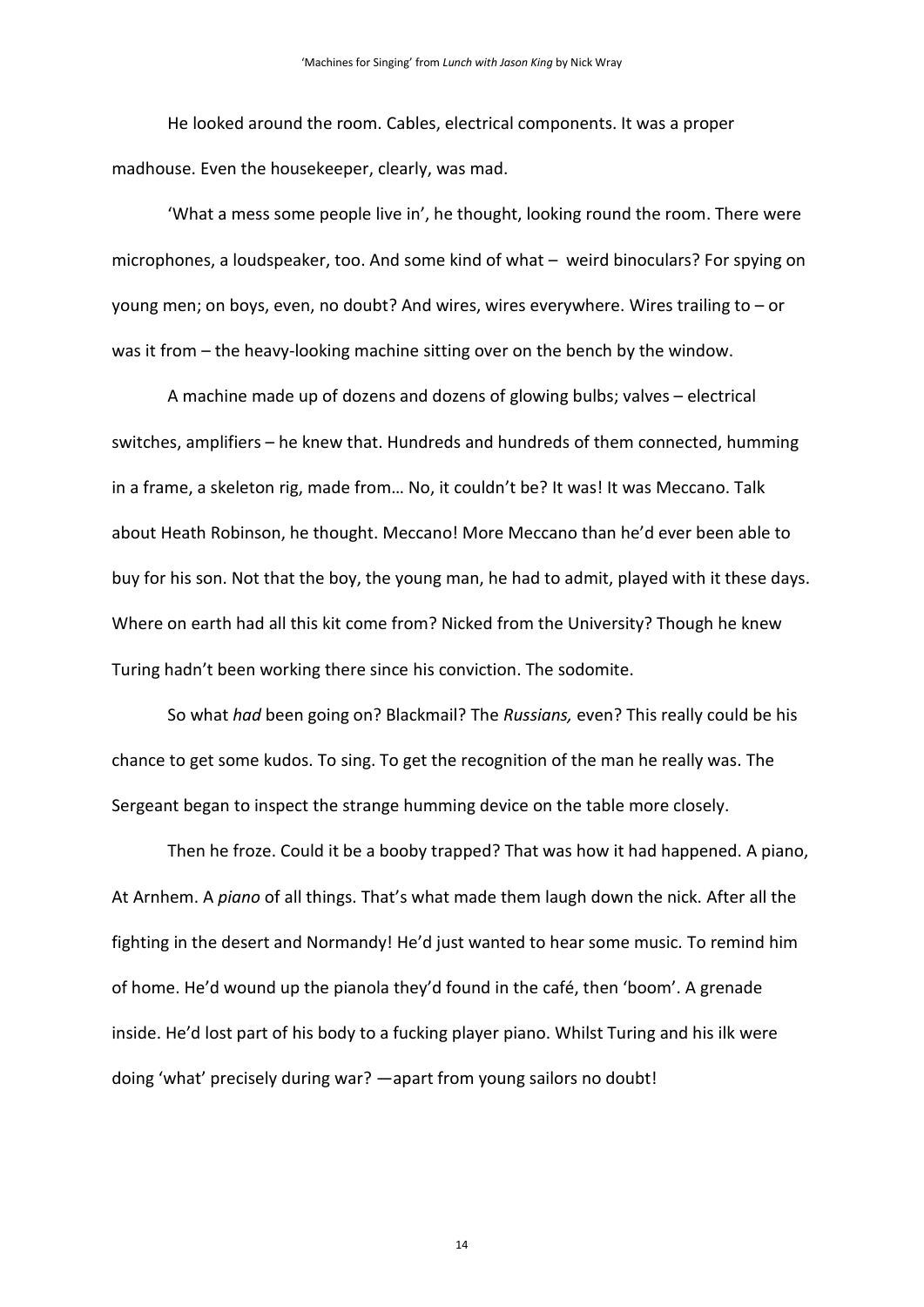He looked around the room. Cables, electrical components. It was a proper madhouse. Even the housekeeper, clearly, was mad.

'What a mess some people live in', he thought, looking round the room. There were microphones, a loudspeaker, too. And some kind of what – weird binoculars? For spying on young men; on boys, even, no doubt? And wires, wires everywhere. Wires trailing to – or was it from – the heavy-looking machine sitting over on the bench by the window.

A machine made up of dozens and dozens of glowing bulbs; valves – electrical switches, amplifiers – he knew that. Hundreds and hundreds of them connected, humming in a frame, a skeleton rig, made from... No, it couldn't be? It was! It was Meccano. Talk about Heath Robinson, he thought. Meccano! More Meccano than he'd ever been able to buy for his son. Not that the boy, the young man, he had to admit, played with it these days. Where on earth had all this kit come from? Nicked from the University? Though he knew Turing hadn't been working there since his conviction. The sodomite.

So what *had* been going on? Blackmail? The *Russians,* even? This really could be his chance to get some kudos. To sing. To get the recognition of the man he really was. The Sergeant began to inspect the strange humming device on the table more closely.

Then he froze. Could it be a booby trapped? That was how it had happened. A piano, At Arnhem. A *piano* of all things. That's what made them laugh down the nick. After all the fighting in the desert and Normandy! He'd just wanted to hear some music. To remind him of home. He'd wound up the pianola they'd found in the café, then 'boom'. A grenade inside. He'd lost part of his body to a fucking player piano. Whilst Turing and his ilk were doing 'what' precisely during war? —apart from young sailors no doubt!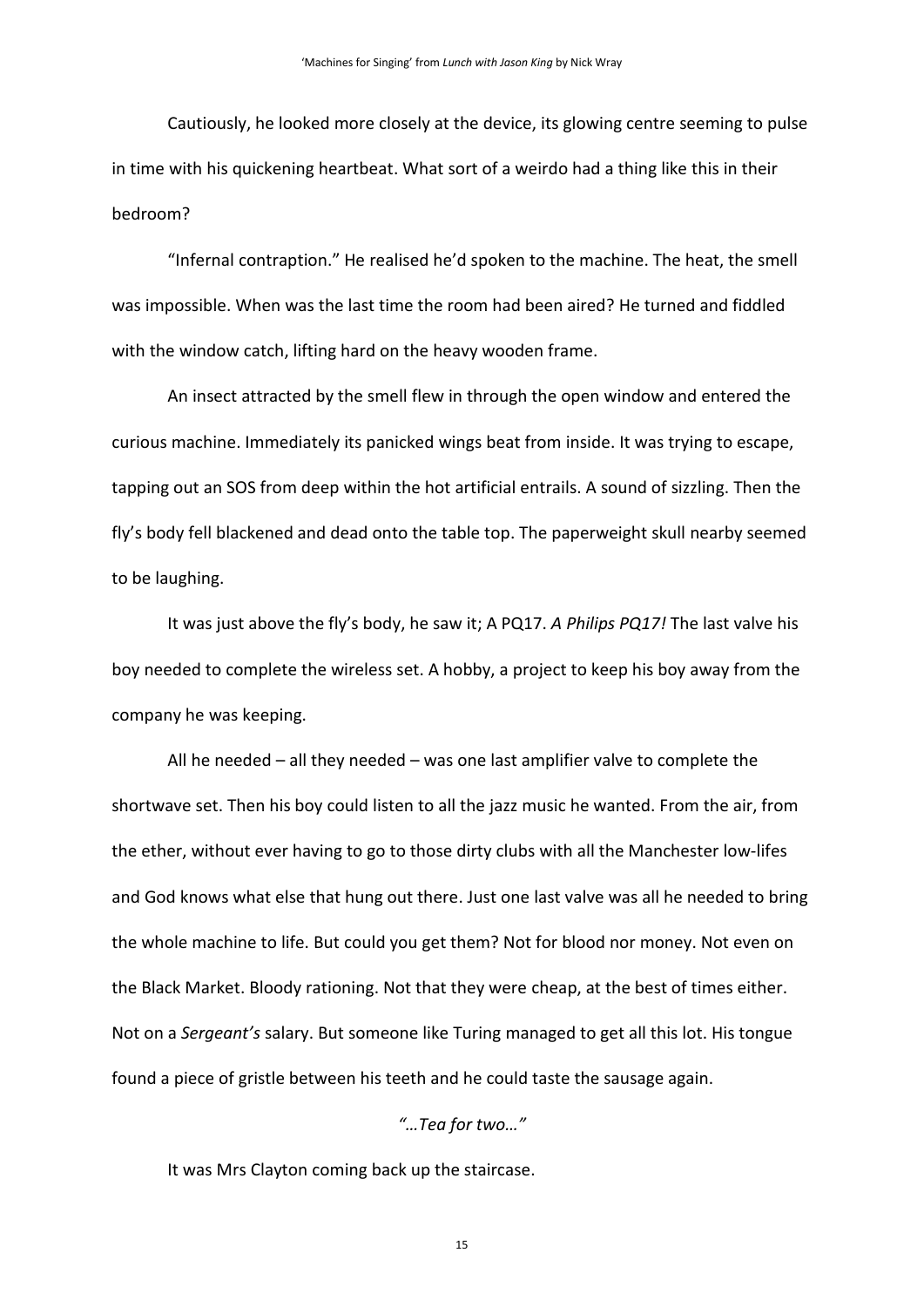Cautiously, he looked more closely at the device, its glowing centre seeming to pulse in time with his quickening heartbeat. What sort of a weirdo had a thing like this in their bedroom?

"Infernal contraption." He realised he'd spoken to the machine. The heat, the smell was impossible. When was the last time the room had been aired? He turned and fiddled with the window catch, lifting hard on the heavy wooden frame.

An insect attracted by the smell flew in through the open window and entered the curious machine. Immediately its panicked wings beat from inside. It was trying to escape, tapping out an SOS from deep within the hot artificial entrails. A sound of sizzling. Then the fly's body fell blackened and dead onto the table top. The paperweight skull nearby seemed to be laughing.

It was just above the fly's body, he saw it; A PQ17. *A Philips PQ17!* The last valve his boy needed to complete the wireless set. A hobby, a project to keep his boy away from the company he was keeping.

All he needed – all they needed – was one last amplifier valve to complete the shortwave set. Then his boy could listen to all the jazz music he wanted. From the air, from the ether, without ever having to go to those dirty clubs with all the Manchester low-lifes and God knows what else that hung out there. Just one last valve was all he needed to bring the whole machine to life. But could you get them? Not for blood nor money. Not even on the Black Market. Bloody rationing. Not that they were cheap, at the best of times either. Not on a *Sergeant's* salary. But someone like Turing managed to get all this lot. His tongue found a piece of gristle between his teeth and he could taste the sausage again.

#### *"…Tea for two…"*

It was Mrs Clayton coming back up the staircase.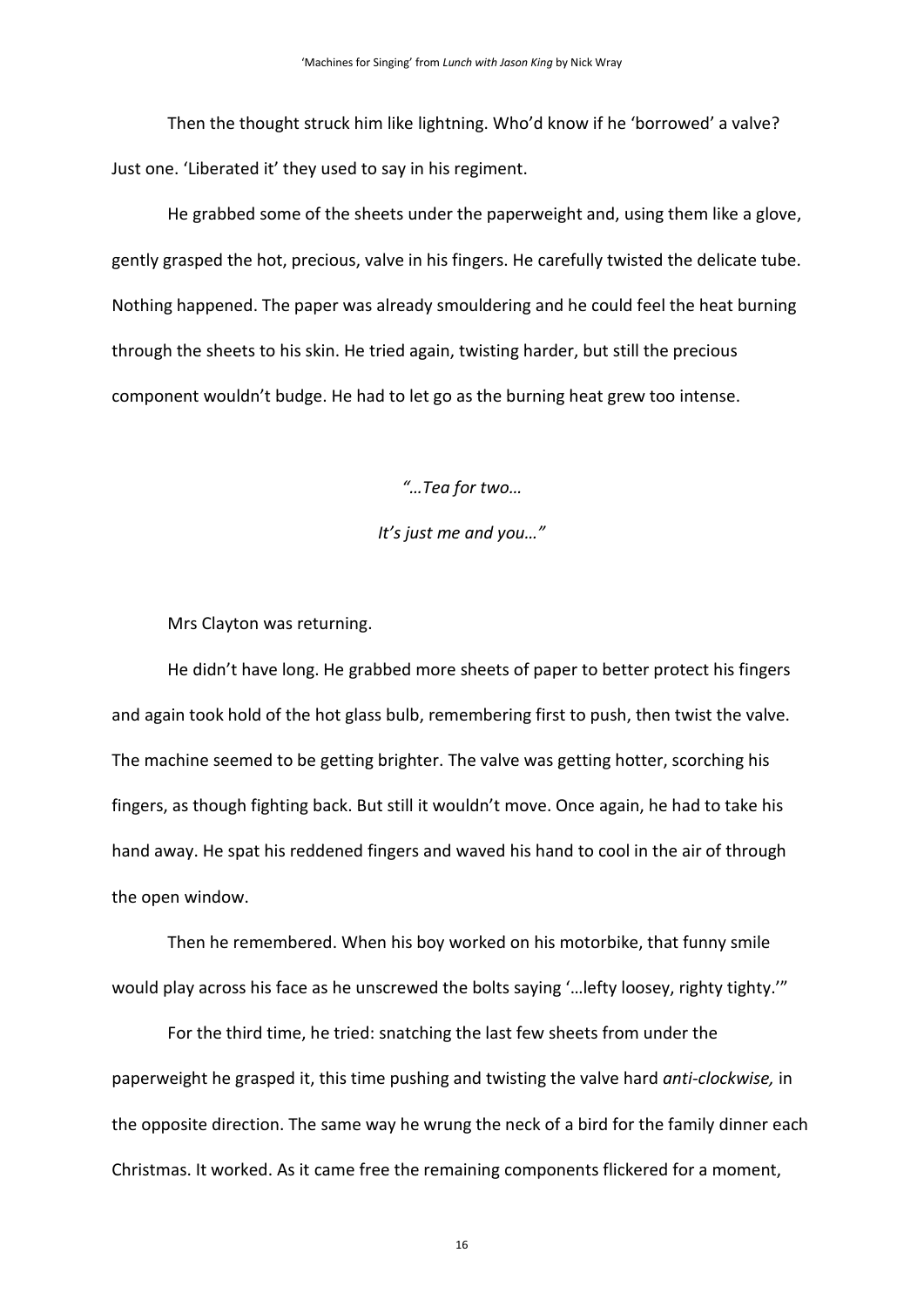Then the thought struck him like lightning. Who'd know if he 'borrowed' a valve? Just one. 'Liberated it' they used to say in his regiment.

He grabbed some of the sheets under the paperweight and, using them like a glove, gently grasped the hot, precious, valve in his fingers. He carefully twisted the delicate tube. Nothing happened. The paper was already smouldering and he could feel the heat burning through the sheets to his skin. He tried again, twisting harder, but still the precious component wouldn't budge. He had to let go as the burning heat grew too intense.

*"…Tea for two…*

#### *It's just me and you…"*

Mrs Clayton was returning.

He didn't have long. He grabbed more sheets of paper to better protect his fingers and again took hold of the hot glass bulb, remembering first to push, then twist the valve. The machine seemed to be getting brighter. The valve was getting hotter, scorching his fingers, as though fighting back. But still it wouldn't move. Once again, he had to take his hand away. He spat his reddened fingers and waved his hand to cool in the air of through the open window.

Then he remembered. When his boy worked on his motorbike, that funny smile would play across his face as he unscrewed the bolts saying '…lefty loosey, righty tighty.'"

For the third time, he tried: snatching the last few sheets from under the paperweight he grasped it, this time pushing and twisting the valve hard *anti-clockwise,* in the opposite direction. The same way he wrung the neck of a bird for the family dinner each Christmas. It worked. As it came free the remaining components flickered for a moment,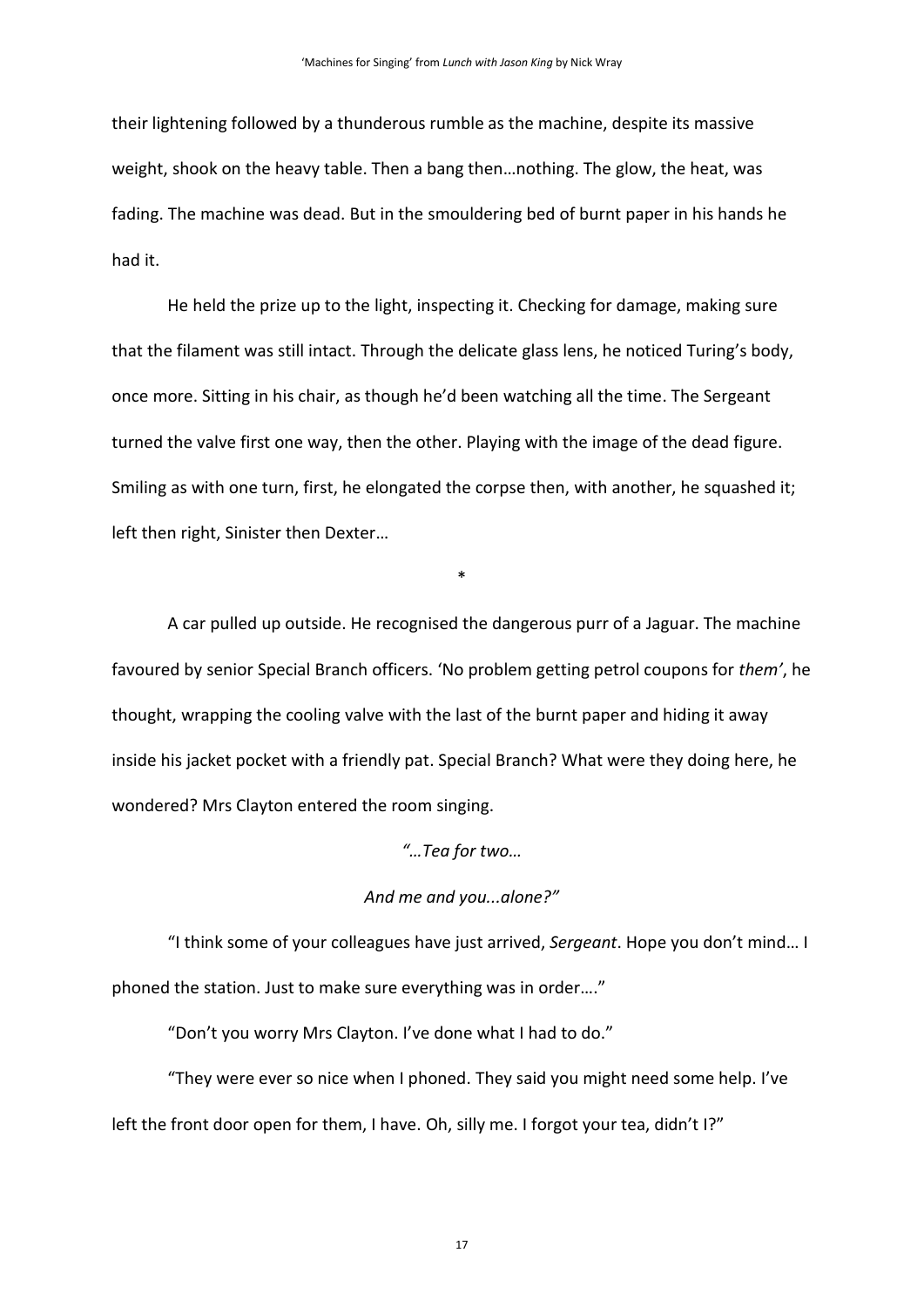their lightening followed by a thunderous rumble as the machine, despite its massive weight, shook on the heavy table. Then a bang then…nothing. The glow, the heat, was fading. The machine was dead. But in the smouldering bed of burnt paper in his hands he had it.

He held the prize up to the light, inspecting it. Checking for damage, making sure that the filament was still intact. Through the delicate glass lens, he noticed Turing's body, once more. Sitting in his chair, as though he'd been watching all the time. The Sergeant turned the valve first one way, then the other. Playing with the image of the dead figure. Smiling as with one turn, first, he elongated the corpse then, with another, he squashed it; left then right, Sinister then Dexter…

A car pulled up outside. He recognised the dangerous purr of a Jaguar. The machine favoured by senior Special Branch officers. 'No problem getting petrol coupons for *them'*, he thought, wrapping the cooling valve with the last of the burnt paper and hiding it away inside his jacket pocket with a friendly pat. Special Branch? What were they doing here, he wondered? Mrs Clayton entered the room singing.

\*

#### *"…Tea for two…*

#### *And me and you...alone?"*

"I think some of your colleagues have just arrived, *Sergeant*. Hope you don't mind… I phoned the station. Just to make sure everything was in order…."

"Don't you worry Mrs Clayton. I've done what I had to do."

"They were ever so nice when I phoned. They said you might need some help. I've left the front door open for them, I have. Oh, silly me. I forgot your tea, didn't I?"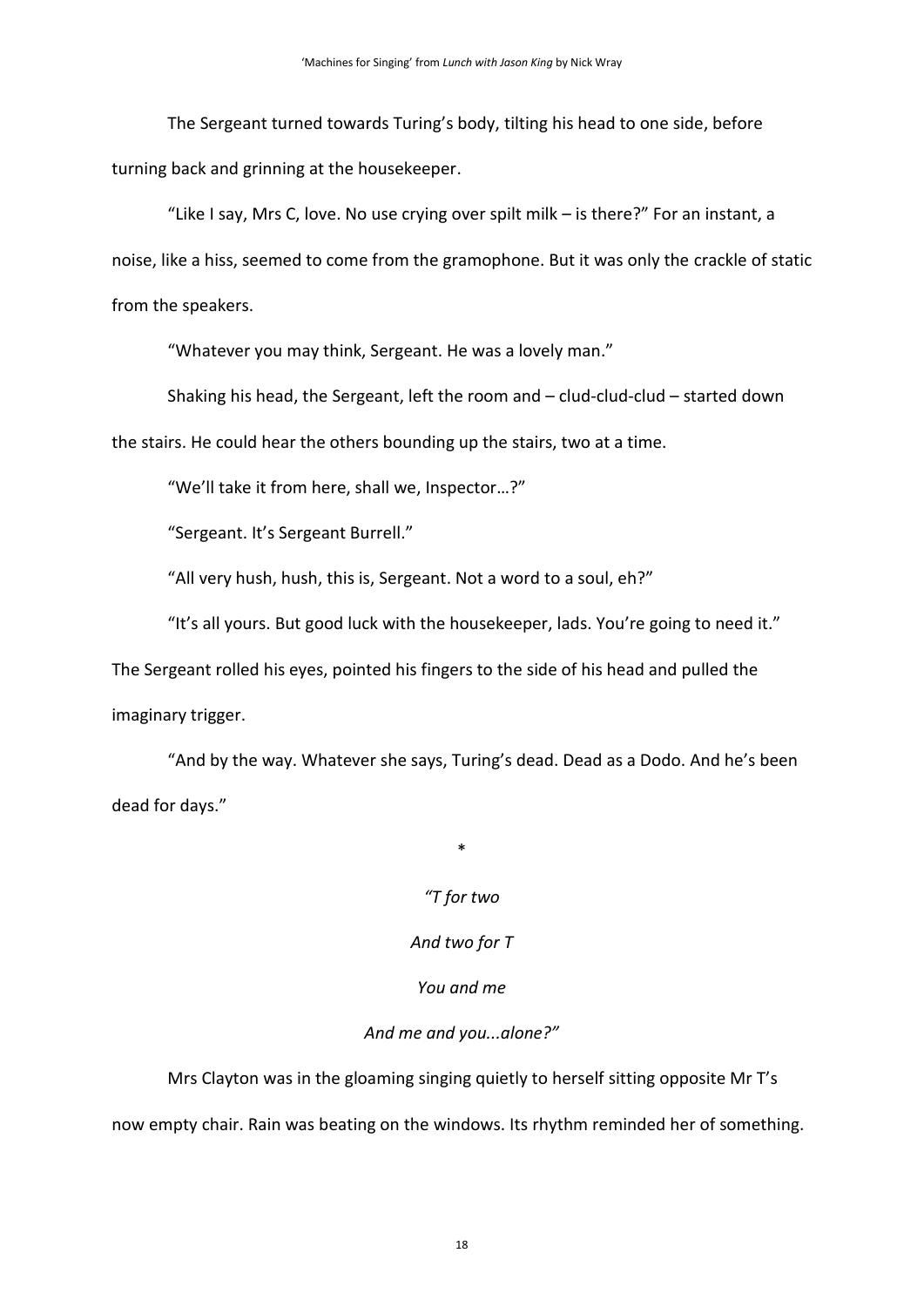The Sergeant turned towards Turing's body, tilting his head to one side, before turning back and grinning at the housekeeper.

"Like I say, Mrs C, love. No use crying over spilt milk – is there?" For an instant, a noise, like a hiss, seemed to come from the gramophone. But it was only the crackle of static from the speakers.

"Whatever you may think, Sergeant. He was a lovely man."

Shaking his head, the Sergeant, left the room and – clud-clud-clud – started down

the stairs. He could hear the others bounding up the stairs, two at a time.

"We'll take it from here, shall we, Inspector…?"

"Sergeant. It's Sergeant Burrell."

"All very hush, hush, this is, Sergeant. Not a word to a soul, eh?"

"It's all yours. But good luck with the housekeeper, lads. You're going to need it."

The Sergeant rolled his eyes, pointed his fingers to the side of his head and pulled the imaginary trigger.

"And by the way. Whatever she says, Turing's dead. Dead as a Dodo. And he's been dead for days."

\*

## *"T for two*

### *And two for T*

### *You and me*

### *And me and you...alone?"*

Mrs Clayton was in the gloaming singing quietly to herself sitting opposite Mr T's now empty chair. Rain was beating on the windows. Its rhythm reminded her of something.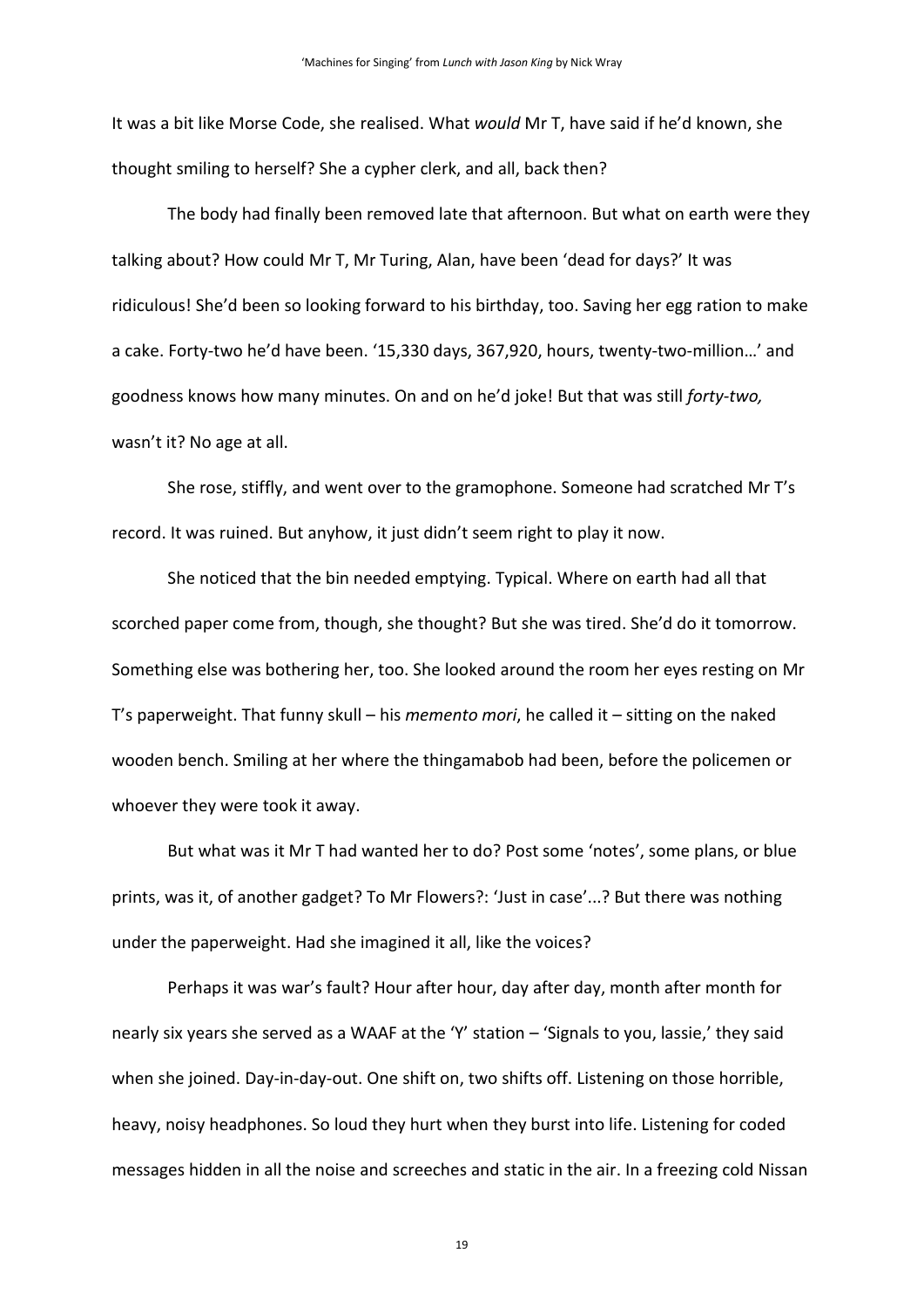It was a bit like Morse Code, she realised. What *would* Mr T, have said if he'd known, she thought smiling to herself? She a cypher clerk, and all, back then?

The body had finally been removed late that afternoon. But what on earth were they talking about? How could Mr T, Mr Turing, Alan, have been 'dead for days?' It was ridiculous! She'd been so looking forward to his birthday, too. Saving her egg ration to make a cake. Forty-two he'd have been. '15,330 days, 367,920, hours, twenty-two-million…' and goodness knows how many minutes. On and on he'd joke! But that was still *forty-two,*  wasn't it? No age at all.

She rose, stiffly, and went over to the gramophone. Someone had scratched Mr T's record. It was ruined. But anyhow, it just didn't seem right to play it now.

She noticed that the bin needed emptying. Typical. Where on earth had all that scorched paper come from, though, she thought? But she was tired. She'd do it tomorrow. Something else was bothering her, too. She looked around the room her eyes resting on Mr T's paperweight. That funny skull – his *memento mori*, he called it – sitting on the naked wooden bench. Smiling at her where the thingamabob had been, before the policemen or whoever they were took it away.

But what was it Mr T had wanted her to do? Post some 'notes', some plans, or blue prints, was it, of another gadget? To Mr Flowers?: 'Just in case'...? But there was nothing under the paperweight. Had she imagined it all, like the voices?

Perhaps it was war's fault? Hour after hour, day after day, month after month for nearly six years she served as a WAAF at the 'Y' station – 'Signals to you, lassie,' they said when she joined. Day-in-day-out. One shift on, two shifts off. Listening on those horrible, heavy, noisy headphones. So loud they hurt when they burst into life. Listening for coded messages hidden in all the noise and screeches and static in the air. In a freezing cold Nissan